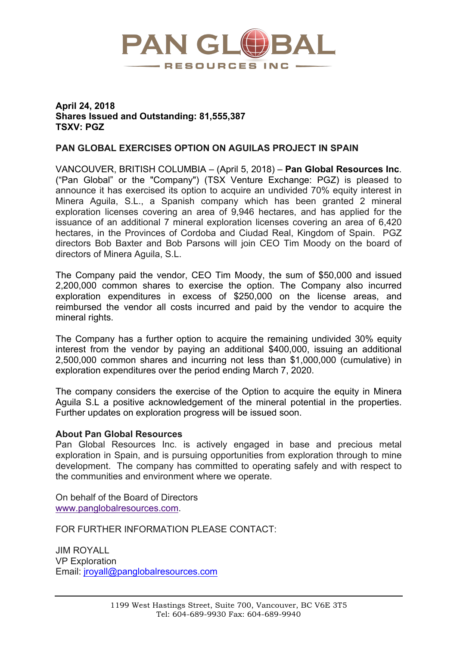

## **April 24, 2018 Shares Issued and Outstanding: 81,555,387 TSXV: PGZ**

## **PAN GLOBAL EXERCISES OPTION ON AGUILAS PROJECT IN SPAIN**

VANCOUVER, BRITISH COLUMBIA – (April 5, 2018) – **Pan Global Resources Inc**. ("Pan Global" or the "Company") (TSX Venture Exchange: PGZ) is pleased to announce it has exercised its option to acquire an undivided 70% equity interest in Minera Aguila, S.L., a Spanish company which has been granted 2 mineral exploration licenses covering an area of 9,946 hectares, and has applied for the issuance of an additional 7 mineral exploration licenses covering an area of 6,420 hectares, in the Provinces of Cordoba and Ciudad Real, Kingdom of Spain. PGZ directors Bob Baxter and Bob Parsons will join CEO Tim Moody on the board of directors of Minera Aguila, S.L.

The Company paid the vendor, CEO Tim Moody, the sum of \$50,000 and issued 2,200,000 common shares to exercise the option. The Company also incurred exploration expenditures in excess of \$250,000 on the license areas, and reimbursed the vendor all costs incurred and paid by the vendor to acquire the mineral rights.

The Company has a further option to acquire the remaining undivided 30% equity interest from the vendor by paying an additional \$400,000, issuing an additional 2,500,000 common shares and incurring not less than \$1,000,000 (cumulative) in exploration expenditures over the period ending March 7, 2020.

The company considers the exercise of the Option to acquire the equity in Minera Aguila S.L a positive acknowledgement of the mineral potential in the properties. Further updates on exploration progress will be issued soon.

## **About Pan Global Resources**

Pan Global Resources Inc. is actively engaged in base and precious metal exploration in Spain, and is pursuing opportunities from exploration through to mine development. The company has committed to operating safely and with respect to the communities and environment where we operate.

On behalf of the Board of Directors www.panglobalresources.com.

FOR FURTHER INFORMATION PLEASE CONTACT:

JIM ROYALL VP Exploration Email: jroyall@panglobalresources.com